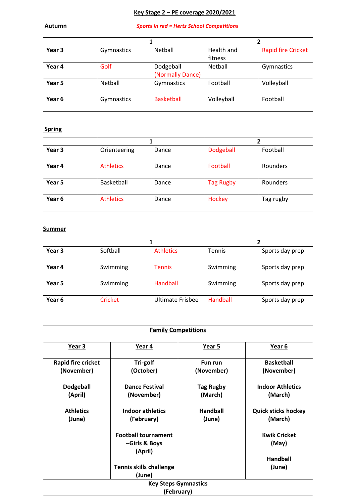# **Key Stage 2 – PE coverage 2020/2021**

#### **Autumn** *Sports in red = Herts School Competitions*

| Year 3 | Gymnastics | Netball           | Health and | <b>Rapid fire Cricket</b> |
|--------|------------|-------------------|------------|---------------------------|
|        |            |                   | fitness    |                           |
| Year 4 | Golf       | Dodgeball         | Netball    | Gymnastics                |
|        |            | (Normally Dance)  |            |                           |
| Year 5 | Netball    | Gymnastics        | Football   | Volleyball                |
| Year 6 | Gymnastics | <b>Basketball</b> | Volleyball | Football                  |

## **Spring**

| Year 3 | Orienteering     | Dance | Dodgeball        | Football        |
|--------|------------------|-------|------------------|-----------------|
| Year 4 | <b>Athletics</b> | Dance | Football         | <b>Rounders</b> |
| Year 5 | Basketball       | Dance | <b>Tag Rugby</b> | <b>Rounders</b> |
| Year 6 | <b>Athletics</b> | Dance | Hockey           | Tag rugby       |

#### **Summer**

| Year 3 | Softball       | <b>Athletics</b> | <b>Tennis</b> | Sports day prep |
|--------|----------------|------------------|---------------|-----------------|
| Year 4 | Swimming       | <b>Tennis</b>    | Swimming      | Sports day prep |
| Year 5 | Swimming       | Handball         | Swimming      | Sports day prep |
| Year 6 | <b>Cricket</b> | Ultimate Frisbee | Handball      | Sports day prep |

| <b>Family Competitions</b>                                            |                                                        |                             |                                       |  |
|-----------------------------------------------------------------------|--------------------------------------------------------|-----------------------------|---------------------------------------|--|
| Year 3                                                                | Year 4                                                 | Year 5                      | Year 6                                |  |
| Rapid fire cricket<br>(November)                                      | Tri-golf<br>(October)                                  | Fun run<br>(November)       | <b>Basketball</b><br>(November)       |  |
| <b>Dodgeball</b><br>(April)                                           | <b>Dance Festival</b><br>(November)                    | <b>Tag Rugby</b><br>(March) | <b>Indoor Athletics</b><br>(March)    |  |
| <b>Athletics</b><br>(June)                                            | <b>Indoor athletics</b><br>(February)                  | <b>Handball</b><br>(June)   | <b>Quick sticks hockey</b><br>(March) |  |
|                                                                       | <b>Football tournament</b><br>-Girls & Boys<br>(April) |                             | <b>Kwik Cricket</b><br>(May)          |  |
| <b>Handball</b><br><b>Tennis skills challenge</b><br>(June)<br>(June) |                                                        |                             |                                       |  |
| <b>Key Steps Gymnastics</b><br>(February)                             |                                                        |                             |                                       |  |